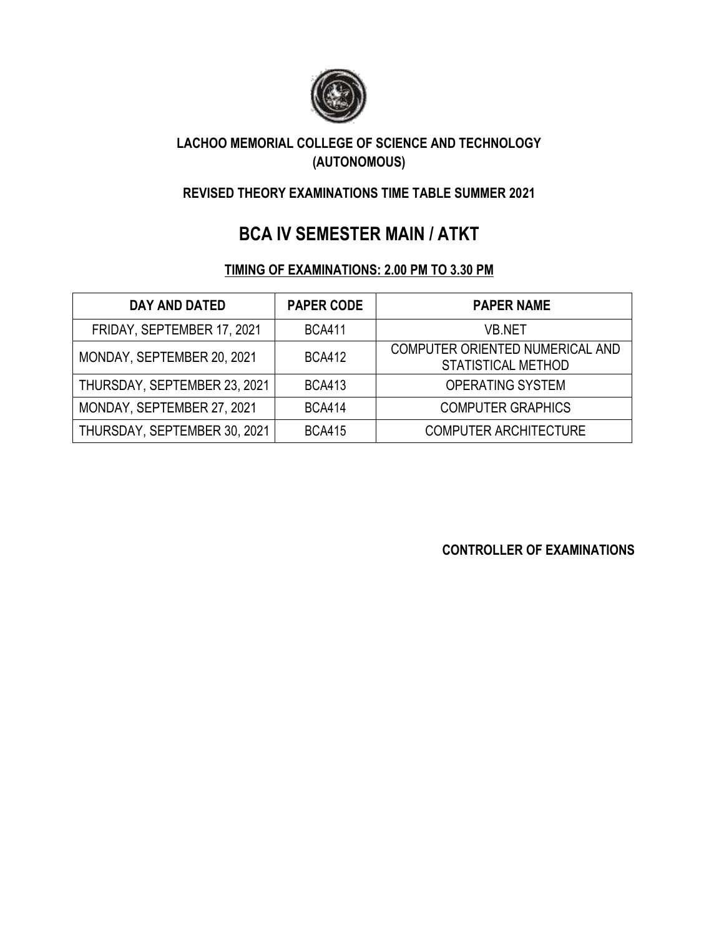

## **LACHOO MEMORIAL COLLEGE OF SCIENCE AND TECHNOLOGY (AUTONOMOUS)**

## **REVISED THEORY EXAMINATIONS TIME TABLE SUMMER 2021**

# **BCA IV SEMESTER MAIN / ATKT**

### **TIMING OF EXAMINATIONS: 2.00 PM TO 3.30 PM**

| <b>DAY AND DATED</b>         | <b>PAPER CODE</b> | <b>PAPER NAME</b>                                     |
|------------------------------|-------------------|-------------------------------------------------------|
| FRIDAY, SEPTEMBER 17, 2021   | <b>BCA411</b>     | <b>VB.NET</b>                                         |
| MONDAY, SEPTEMBER 20, 2021   | <b>BCA412</b>     | COMPUTER ORIENTED NUMERICAL AND<br>STATISTICAL METHOD |
| THURSDAY, SEPTEMBER 23, 2021 | <b>BCA413</b>     | <b>OPERATING SYSTEM</b>                               |
| MONDAY, SEPTEMBER 27, 2021   | <b>BCA414</b>     | <b>COMPUTER GRAPHICS</b>                              |
| THURSDAY, SEPTEMBER 30, 2021 | <b>BCA415</b>     | <b>COMPUTER ARCHITECTURE</b>                          |

**CONTROLLER OF EXAMINATIONS**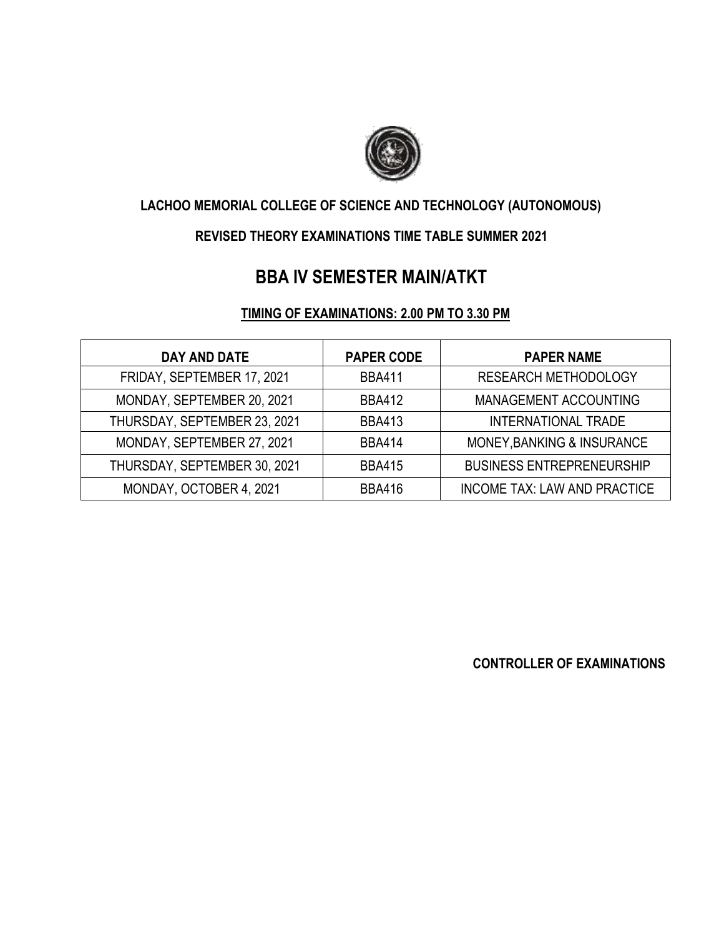

# **LACHOO MEMORIAL COLLEGE OF SCIENCE AND TECHNOLOGY (AUTONOMOUS)**

#### **REVISED THEORY EXAMINATIONS TIME TABLE SUMMER 2021**

# **BBA IV SEMESTER MAIN/ATKT**

#### **TIMING OF EXAMINATIONS: 2.00 PM TO 3.30 PM**

| <b>DAY AND DATE</b>          | <b>PAPER CODE</b> | <b>PAPER NAME</b>                   |
|------------------------------|-------------------|-------------------------------------|
| FRIDAY, SEPTEMBER 17, 2021   | <b>BBA411</b>     | <b>RESEARCH METHODOLOGY</b>         |
| MONDAY, SEPTEMBER 20, 2021   | <b>BBA412</b>     | MANAGEMENT ACCOUNTING               |
| THURSDAY, SEPTEMBER 23, 2021 | <b>BBA413</b>     | <b>INTERNATIONAL TRADE</b>          |
| MONDAY, SEPTEMBER 27, 2021   | <b>BBA414</b>     | MONEY, BANKING & INSURANCE          |
| THURSDAY, SEPTEMBER 30, 2021 | <b>BBA415</b>     | <b>BUSINESS ENTREPRENEURSHIP</b>    |
| MONDAY, OCTOBER 4, 2021      | <b>BBA416</b>     | <b>INCOME TAX: LAW AND PRACTICE</b> |

**CONTROLLER OF EXAMINATIONS**